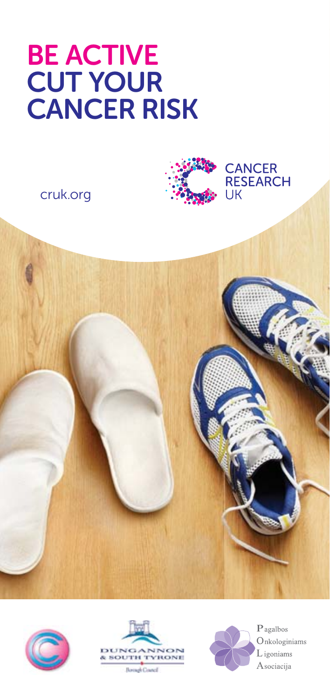# BE ACTIVE cut your cancer risk











**Borough Council** 



 $P$  agalbos Onkologiniams L igoniams Asociacija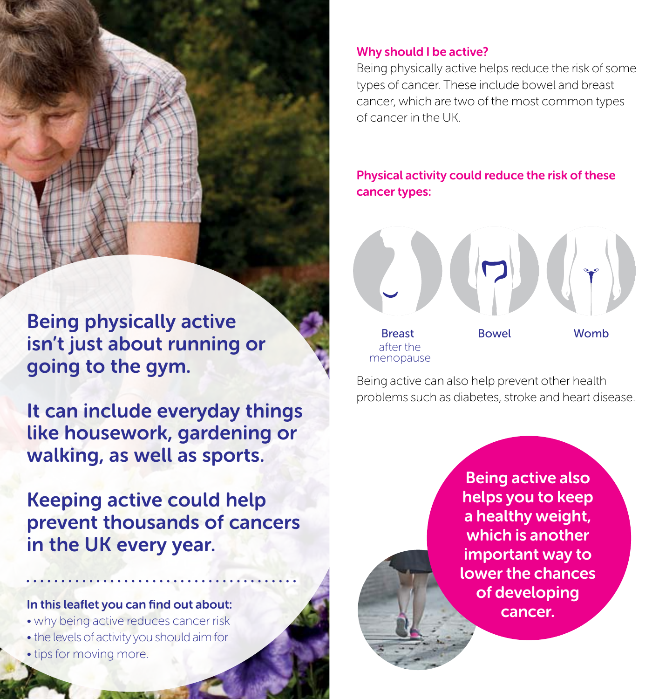Being physically active isn't just about running or going to the gym.

It can include everyday things like housework, gardening or walking, as well as sports.

Keeping active could help prevent thousands of cancers in the UK every year.

#### In this leaflet you can find out about:

- why being active reduces cancer risk
- the levels of activity you should aim for
- tips for moving more.

## Why should I be active?

Being physically active helps reduce the risk of some types of cancer. These include bowel and breast cancer, which are two of the most common types of cancer in the UK.

Physical activity could reduce the risk of these cancer types:



Being active can also help prevent other health problems such as diabetes, stroke and heart disease.

> Being active also helps you to keep a healthy weight, which is another important way to lower the chances of developing cancer.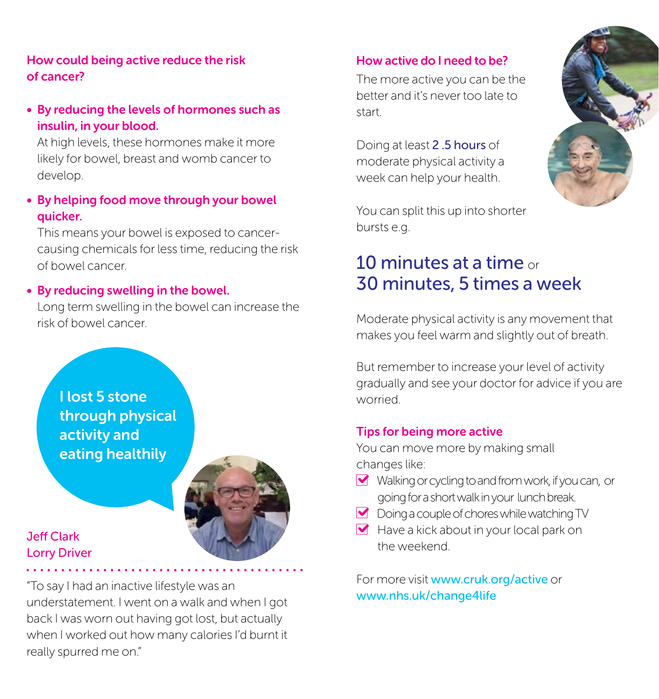## How could being active reduce the risk of cancer?

• By reducing the levels of hormones such as insulin, in your blood.

At high levels, these hormones make it more likely for bowel, breast and womb cancer to develop.

• By helping food move through your bowel quicker.

This means your bowel is exposed to cancercausing chemicals for less time, reducing the risk of bowel cancer.

#### • By reducing swelling in the bowel.

Long term swelling in the bowel can increase the risk of bowel cancer.

I lost 5 stone through physical activity and eating healthily



## Jeff Clark Lorry Driver

"To say I had an inactive lifestyle was an understatement. I went on a walk and when I got back I was worn out having got lost, but actually when I worked out how many calories I'd burnt it really spurred me on."

#### How active do I need to be?

The more active you can be the better and it's never too late to start.

Doing at least 2 .5 hours of moderate physical activity a week can help your health.

You can split this up into shorter bursts e.g.

## 10 minutes at a time or 30 minutes, 5 times a week

Moderate physical activity is any movement that makes you feel warm and slightly out of breath.

But remember to increase your level of activity gradually and see your doctor for advice if you are worried.

#### Tips for being more active

You can move more by making small changes like:

- Walking or cycling to and from work, if you can, or going for a short walk in your lunch break.
- Doing a couple of chores while watching TV
- $\blacktriangleright$  Have a kick about in your local park on the weekend.

For more visit www.cruk.org/active or www.nhs.uk/change4life

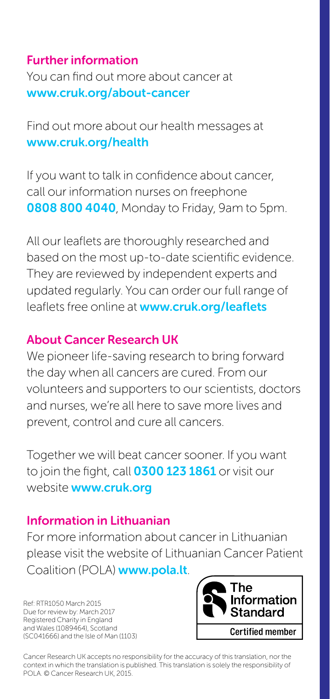## Further information You can find out more about cancer at www.cruk.org/about-cancer

Find out more about our health messages at www.cruk.org/health

If you want to talk in confidence about cancer, call our information nurses on freephone 0808 800 4040, Monday to Friday, 9am to 5pm.

All our leaflets are thoroughly researched and based on the most up-to-date scientific evidence. They are reviewed by independent experts and updated regularly. You can order our full range of leaflets free online at www.cruk.org/leaflets

#### About Cancer Research UK

We pioneer life-saving research to bring forward the day when all cancers are cured. From our volunteers and supporters to our scientists, doctors and nurses, we're all here to save more lives and prevent, control and cure all cancers.

Together we will beat cancer sooner. If you want to join the fight, call **0300 123 1861** or visit our website **www.cruk.org** 

#### Information in Lithuanian

For more information about cancer in Lithuanian please visit the website of Lithuanian Cancer Patient Coalition (POLA) www.pola.lt.

Ref: RTR1050 March 2015 Due for review by: March 2017 Registered Charity in England and Wales (1089464), Scotland (SC041666) and the Isle of Man (1103)



Cancer Research UK accepts no responsibility for the accuracy of this translation, nor the context in which the translation is published. This translation is solely the responsibility of POLA. © Cancer Research UK, 2015.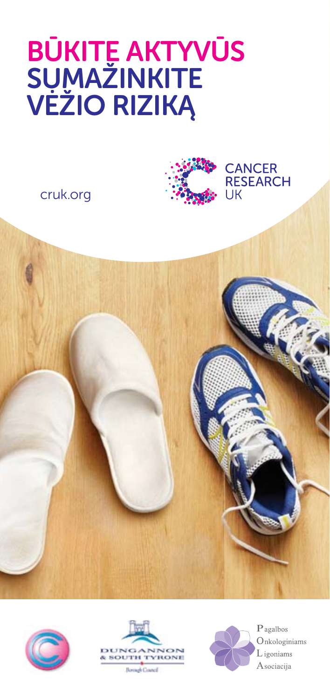# BŪKITE AKTYVŪS SUMAŽINKITE VEŽIO RIZIKĄ

cruk.org



**CANCER RESEARCH** 

UK









 $P$  agalbos Onkologiniams L igoniams Asociacija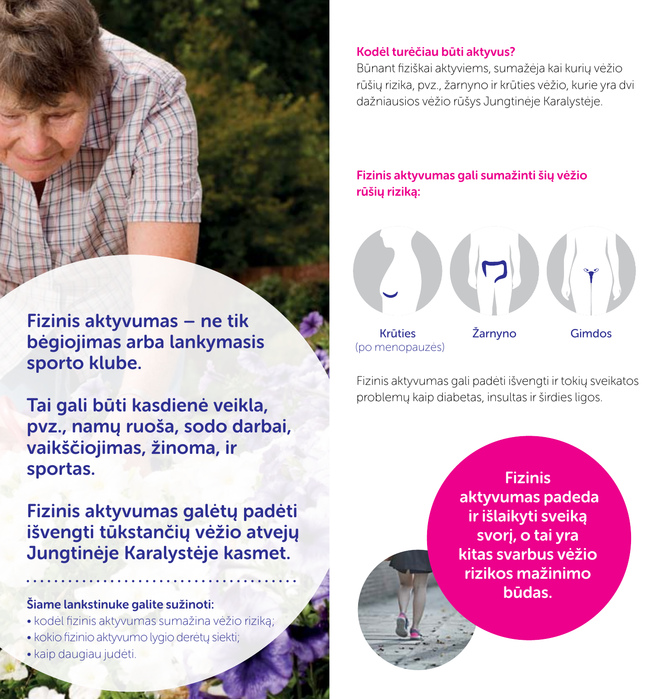Fizinis aktyvumas – ne tik bėgiojimas arba lankymasis sporto klube.

Tai gali būti kasdienė veikla, pvz., namų ruoša, sodo darbai, vaikščiojimas, žinoma, ir sportas.

Fizinis aktyvumas galėtų padėti išvengti tūkstančių vėžio atvejų Jungtinėje Karalystėje kasmet.

#### Šiame lankstinuke galite sužinoti:

- kodėl fizinis aktyvumas sumažina vėžio riziką;
- kokio fizinio aktyvumo lygio derėtų siekti;
- kaip daugiau judėti.

## Kodėl turėčiau būti aktyvus?

Būnant fiziškai aktyviems, sumažėja kai kurių vėžio rūšių rizika, pvz., žarnyno ir krūties vėžio, kurie yra dvi dažniausios vėžio rūšys Jungtinėje Karalystėje.

Fizinis aktyvumas gali sumažinti šių vėžio rūšių riziką:



(po menopauzės)

Fizinis aktyvumas gali padėti išvengti ir tokių sveikatos problemų kaip diabetas, insultas ir širdies ligos.

> Fizinis aktyvumas padeda ir išlaikyti sveiką svorį, o tai yra kitas svarbus vėžio rizikos mažinimo būdas.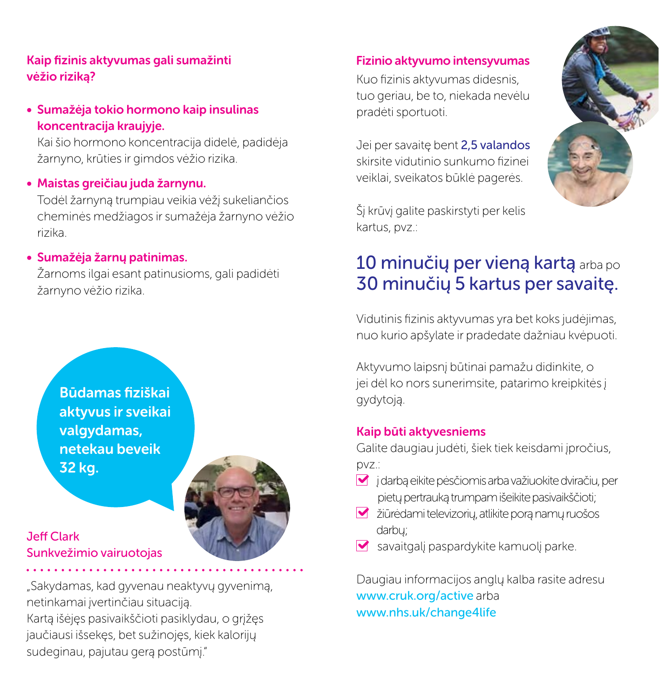### Kaip fizinis aktyvumas gali sumažinti vėžio riziką?

## • Sumažėja tokio hormono kaip insulinas koncentracija kraujyje.

Kai šio hormono koncentracija didelė, padidėja žarnyno, krūties ir gimdos vėžio rizika.

## • Maistas greičiau juda žarnynu.

Todėl žarnyną trumpiau veikia vėžį sukeliančios cheminės medžiagos ir sumažėja žarnyno vėžio rizika.

## • Sumažėja žarnų patinimas.

Žarnoms ilgai esant patinusioms, gali padidėti žarnyno vėžio rizika.

Būdamas fiziškai aktyvus ir sveikai valgydamas, netekau beveik 32 kg.



## Jeff Clark Sunkvežimio vairuotojas

"Sakydamas, kad gyvenau neaktyvų gyvenimą, netinkamai įvertinčiau situaciją. Kartą išėjęs pasivaikščioti pasiklydau, o grįžęs jaučiausi išsekęs, bet sužinojęs, kiek kalorijų sudeginau, pajutau gerą postūmį."

#### Fizinio aktyvumo intensyvumas

Kuo fizinis aktyvumas didesnis, tuo geriau, be to, niekada nevėlu pradėti sportuoti.

Jei per savaitę bent 2,5 valandos skirsite vidutinio sunkumo fizinei veiklai, sveikatos būklė pagerės.



Šį krūvį galite paskirstyti per kelis kartus, pvz.:

## 10 minučių per vieną kartą arba po 30 minučių 5 kartus per savaitę.

Vidutinis fizinis aktyvumas yra bet koks judėjimas, nuo kurio apšylate ir pradedate dažniau kvėpuoti.

Aktyvumo laipsnį būtinai pamažu didinkite, o jei dėl ko nors sunerimsite, patarimo kreipkitės į gydytoją.

#### Kaip būti aktyvesniems

Galite daugiau judėti, šiek tiek keisdami įpročius, pvz.:

- į darbą eikite pėsčiomis arba važiuokite dviračiu, per pietų pertrauką trumpam išeikite pasivaikščioti;
- žiūrėdami televizorių, atlikite porą namų ruošos darbų;
- savaitgalį paspardykite kamuolį parke.

Daugiau informacijos anglų kalba rasite adresu www.cruk.org/active arba www.nhs.uk/change4life